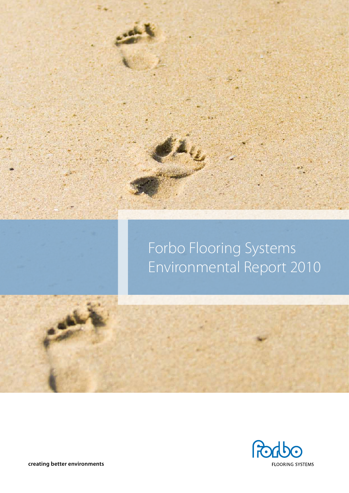

## Forbo Flooring Systems Environmental Report 2010



**creating better environments**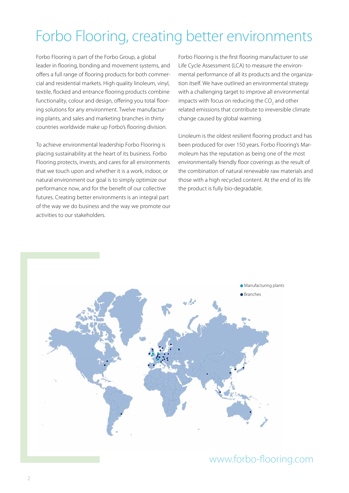### Forbo Flooring, creating better environments

Forbo Flooring is part of the Forbo Group, a global leader in flooring, bonding and movement systems, and offers a full range of flooring products for both commercial and residential markets. High quality linoleum, vinyl, textile, flocked and entrance flooring products combine functionality, colour and design, offering you total flooring solutions for any environment. Twelve manufacturing plants, and sales and marketing branches in thirty countries worldwide make up Forbo's flooring division.

To achieve environmental leadership Forbo Flooring is placing sustainability at the heart of its business. Forbo Flooring protects, invests, and cares for all environments that we touch upon and whether it is a work, indoor, or natural environment our goal is to simply optimize our performance now, and for the benefit of our collective futures. Creating better environments is an integral part of the way we do business and the way we promote our activities to our stakeholders.

Forbo Flooring is the first flooring manufacturer to use Life Cycle Assessment (LCA) to measure the environmental performance of all its products and the organization itself. We have outlined an environmental strategy with a challenging target to improve all environmental impacts with focus on reducing the  $\mathrm{CO}_2$  and other related emissions that contribute to irreversible climate change caused by global warming.

Linoleum is the oldest resilient flooring product and has been produced for over 150 years. Forbo Flooring's Marmoleum has the reputation as being one of the most environmentally friendly floor coverings as the result of the combination of natural renewable raw materials and those with a high recycled content. At the end of its life the product is fully bio-degradable.



### www.forbo-flooring.com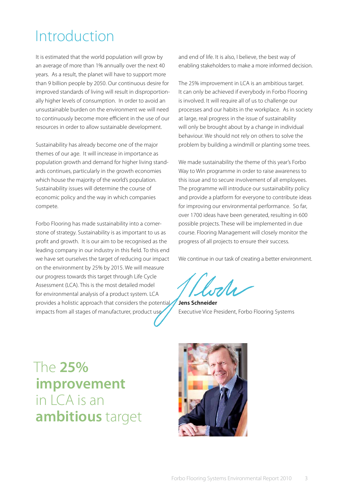### Introduction

It is estimated that the world population will grow by an average of more than 1% annually over the next 40 years. As a result, the planet will have to support more than 9 billion people by 2050. Our continuous desire for improved standards of living will result in disproportionally higher levels of consumption. In order to avoid an unsustainable burden on the environment we will need to continuously become more efficient in the use of our resources in order to allow sustainable development.

Sustainability has already become one of the major themes of our age. It will increase in importance as population growth and demand for higher living standards continues, particularly in the growth economies which house the majority of the world's population. Sustainability issues will determine the course of economic policy and the way in which companies compete.

Forbo Flooring has made sustainability into a cornerstone of strategy. Sustainability is as important to us as profit and growth. It is our aim to be recognised as the leading company in our industry in this field. To this end we have set ourselves the target of reducing our impact on the environment by 25% by 2015. We will measure our progress towards this target through Life Cycle Assessment (LCA). This is the most detailed model for environmental analysis of a product system. LCA provides a holistic approach that considers the potential impacts from all stages of manufacturer, product use

and end of life. It is also, I believe, the best way of enabling stakeholders to make a more informed decision.

The 25% improvement in LCA is an ambitious target. It can only be achieved if everybody in Forbo Flooring is involved. It will require all of us to challenge our processes and our habits in the workplace. As in society at large, real progress in the issue of sustainability will only be brought about by a change in individual behaviour. We should not rely on others to solve the problem by building a windmill or planting some trees.

We made sustainability the theme of this year's Forbo Way to Win programme in order to raise awareness to this issue and to secure involvement of all employees. The programme will introduce our sustainability policy and provide a platform for everyone to contribute ideas for improving our environmental performance. So far, over 1700 ideas have been generated, resulting in 600 possible projects. These will be implemented in due course. Flooring Management will closely monitor the progress of all projects to ensure their success.

We continue in our task of creating a better environment.

ala

**Jens Schneider** Executive Vice President, Forbo Flooring Systems

The **25% improvement**   $in$   $C A$  is an **ambitious** target

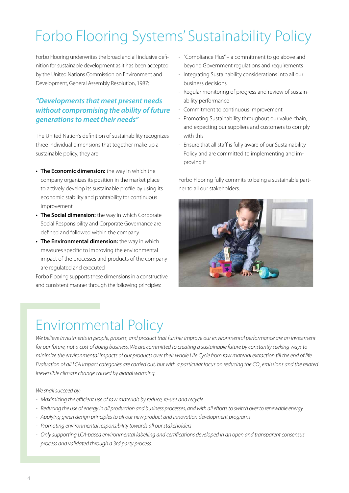# Forbo Flooring Systems' Sustainability Policy

Forbo Flooring underwrites the broad and all inclusive definition for sustainable development as it has been accepted by the United Nations Commission on Environment and Development, General Assembly Resolution, 1987:

### *"Developments that meet present needs without compromising the ability of future generations to meet their needs"*

The United Nation's definition of sustainability recognizes three individual dimensions that together make up a sustainable policy, they are:

- **• The Economic dimension:** the way in which the company organizes its position in the market place to actively develop its sustainable profile by using its economic stability and profitability for continuous improvement
- **• The Social dimension:** the way in which Corporate Social Responsibility and Corporate Governance are defined and followed within the company
- **• The Environmental dimension:** the way in which measures specific to improving the environmental impact of the processes and products of the company are regulated and executed

Forbo Flooring supports these dimensions in a constructive and consistent manner through the following principles:

- "Compliance Plus" a commitment to go above and beyond Government regulations and requirements
- Integrating Sustainability considerations into all our business decisions
- Regular monitoring of progress and review of sustainability performance
- Commitment to continuous improvement
- Promoting Sustainability throughout our value chain, and expecting our suppliers and customers to comply with this
- Ensure that all staff is fully aware of our Sustainability Policy and are committed to implementing and improving it

Forbo Flooring fully commits to being a sustainable partner to all our stakeholders.



### Environmental Policy

*We believe investments in people, process, and product that further improve our environmental performance are an investment for our future, not a cost of doing business. We are committed to creating a sustainable future by constantly seeking ways to minimize the environmental impacts of our products over their whole Life Cycle from raw material extraction till the end of life.*  Evaluation of all LCA impact categories are carried out, but with a particular focus on reducing the CO<sub>2</sub> emissions and the related *irreversible climate change caused by global warming.*

#### *We shall succeed by:*

- *- Maximizing the efficient use of raw materials by reduce, re-use and recycle*
- *- Reducing the use of energy in all production and business processes, and with all efforts to switch over to renewable energy*
- *- Applying green design principles to all our new product and innovation development programs*
- *- Promoting environmental responsibility towards all our stakeholders*
- *- Only supporting LCA-based environmental labelling and certifications developed in an open and transparent consensus process and validated through a 3rd party process.*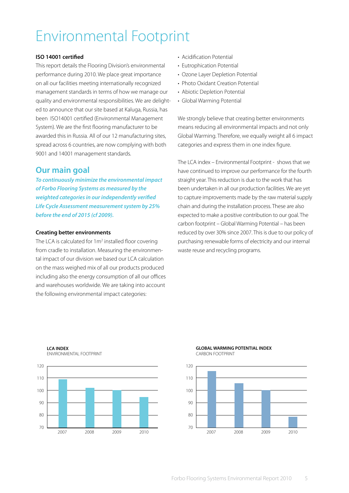## Environmental Footprint

#### **ISO 14001 certified**

This report details the Flooring Division's environmental performance during 2010. We place great importance on all our facilities meeting internationally recognized management standards in terms of how we manage our quality and environmental responsibilities. We are delighted to announce that our site based at Kaluga, Russia, has been ISO14001 certified (Environmental Management System). We are the first flooring manufacturer to be awarded this in Russia. All of our 12 manufacturing sites, spread across 6 countries, are now complying with both 9001 and 14001 management standards.

### **Our main goal**

*To continuously minimize the environmental impact of Forbo Flooring Systems as measured by the weighted categories in our independently verified Life Cycle Assessment measurement system by 25% before the end of 2015 (cf 2009).*

#### **Creating better environments**

**LCA INDEX**

ENVIRONMENTAL FOOTPRINT

The LCA is calculated for 1m<sup>2</sup> installed floor covering from cradle to installation. Measuring the environmental impact of our division we based our LCA calculation on the mass weighed mix of all our products produced including also the energy consumption of all our offices and warehouses worldwide. We are taking into account the following environmental impact categories:

- Acidification Potential
- Eutrophication Potential
- Ozone Layer Depletion Potential
- Photo Oxidant Creation Potential
- Abiotic Depletion Potential
- Global Warming Potential

We strongly believe that creating better environments means reducing all environmental impacts and not only Global Warming. Therefore, we equally weight all 6 impact categories and express them in one index figure.

The LCA index – Environmental Footprint - shows that we have continued to improve our performance for the fourth straight year. This reduction is due to the work that has been undertaken in all our production facilities. We are yet to capture improvements made by the raw material supply chain and during the installation process. These are also expected to make a positive contribution to our goal. The carbon footprint – Global Warming Potential – has been reduced by over 30% since 2007. This is due to our policy of purchasing renewable forms of electricity and our internal waste reuse and recycling programs.

120 110  $100$  $90$  $80$ 70 2007 2008 2009 2010

#### **GLOBAL WARMING POTENTIAL INDEX** CARBON FOOTPRINT

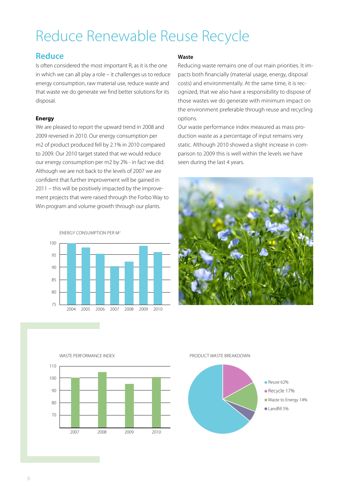## Reduce Renewable Reuse Recycle

### **Reduce**

Is often considered the most important R, as it is the one in which we can all play a role – it challenges us to reduce energy consumption, raw material use, reduce waste and that waste we do generate we find better solutions for its disposal.

#### **Energy**

We are pleased to report the upward trend in 2008 and 2009 reversed in 2010. Our energy consumption per m2 of product produced fell by 2.1% in 2010 compared to 2009. Our 2010 target stated that we would reduce our energy consumption per m2 by 2% - in fact we did. Although we are not back to the levels of 2007 we are confident that further improvement will be gained in 2011 – this will be positively impacted by the improvement projects that were raised through the Forbo Way to Win program and volume growth through our plants.

energy consumption per m2



#### **Waste**

Reducing waste remains one of our main priorities. It impacts both financially (material usage, energy, disposal costs) and environmentally. At the same time, it is recognized, that we also have a responsibility to dispose of those wastes we do generate with minimum impact on the environment preferable through reuse and recycling options.

Our waste performance index measured as mass production waste as a percentage of input remains very static. Although 2010 showed a slight increase in comparison to 2009 this is well within the levels we have seen during the last 4 years.





#### Product waste breakdown

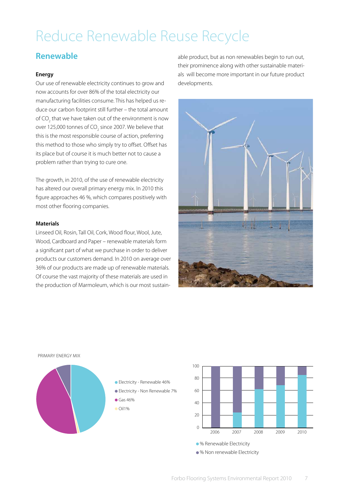### Reduce Renewable Reuse Recycle

### **Renewable**

#### **Energy**

Our use of renewable electricity continues to grow and now accounts for over 86% of the total electricity our manufacturing facilities consume. This has helped us reduce our carbon footprint still further – the total amount of CO<sub>2</sub> that we have taken out of the environment is now over 125,000 tonnes of CO $_{\rm 2}$  since 2007. We believe that this is the most responsible course of action, preferring this method to those who simply try to offset. Offset has its place but of course it is much better not to cause a problem rather than trying to cure one.

The growth, in 2010, of the use of renewable electricity has altered our overall primary energy mix. In 2010 this figure approaches 46 %, which compares positively with most other flooring companies.

#### **Materials**

Linseed Oil, Rosin, Tall Oil, Cork, Wood flour, Wool, Jute, Wood, Cardboard and Paper – renewable materials form a significant part of what we purchase in order to deliver products our customers demand. In 2010 on average over 36% of our products are made up of renewable materials. Of course the vast majority of these materials are used in the production of Marmoleum, which is our most sustainable product, but as non renewables begin to run out, their prominence along with other sustainable materials will become more important in our future product developments.





· % Renewable Electricity % Non renewable Electricity 100  $80$  $60$  $40$  $20$  $\Omega$ 2006 2007 2008 2009 2010

#### Forbo Flooring Systems Environmental Report 2010 7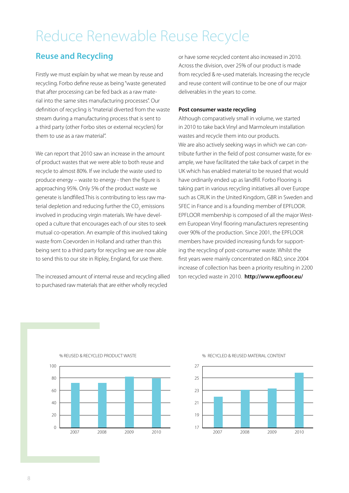### Reduce Renewable Reuse Recycle

### **Reuse and Recycling**

Firstly we must explain by what we mean by reuse and recycling. Forbo define reuse as being "waste generated that after processing can be fed back as a raw material into the same sites manufacturing processes". Our definition of recycling is "material diverted from the waste stream during a manufacturing process that is sent to a third party (other Forbo sites or external recyclers) for them to use as a raw material".

We can report that 2010 saw an increase in the amount of product wastes that we were able to both reuse and recycle to almost 80%. If we include the waste used to produce energy – waste to energy - then the figure is approaching 95%. Only 5% of the product waste we generate is landfilled.This is contributing to less raw material depletion and reducing further the CO<sub>2</sub> emissions involved in producing virgin materials. We have developed a culture that encourages each of our sites to seek mutual co-operation. An example of this involved taking waste from Coevorden in Holland and rather than this being sent to a third party for recycling we are now able to send this to our site in Ripley, England, for use there.

The increased amount of internal reuse and recycling allied to purchased raw materials that are either wholly recycled

% REUSED & RECYCLED PRODUCT WASTE

or have some recycled content also increased in 2010. Across the division, over 25% of our product is made from recycled & re-used materials. Increasing the recycle and reuse content will continue to be one of our major deliverables in the years to come.

#### **Post consumer waste recycling**

Although comparatively small in volume, we started in 2010 to take back Vinyl and Marmoleum installation wastes and recycle them into our products. We are also actively seeking ways in which we can contribute further in the field of post consumer waste, for example, we have facilitated the take back of carpet in the UK which has enabled material to be reused that would have ordinarily ended up as landfill. Forbo Flooring is taking part in various recycling initiatives all over Europe such as CRUK in the United Kingdom, GBR in Sweden and SFEC in France and is a founding member of EPFLOOR. EPFLOOR membership is composed of all the major Western European Vinyl flooring manufacturers representing over 90% of the production. Since 2001, the EPFLOOR members have provided increasing funds for supporting the recycling of post-consumer waste. Whilst the first years were mainly concentrated on R&D, since 2004 increase of collection has been a priority resulting in 2200 ton recycled waste in 2010. **http://www.epfloor.eu/**



#### % RECYCLED & REUSED MATERIAL CONTENT

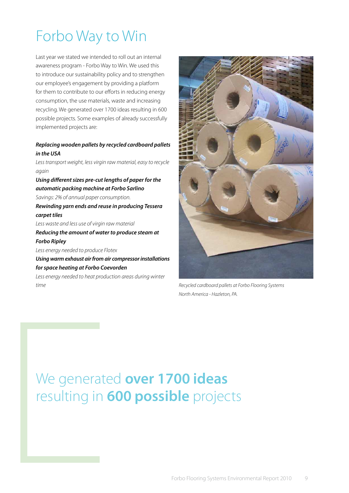# Forbo Way to Win

Last year we stated we intended to roll out an internal awareness program - Forbo Way to Win. We used this to introduce our sustainability policy and to strengthen our employee's engagement by providing a platform for them to contribute to our efforts in reducing energy consumption, the use materials, waste and increasing recycling. We generated over 1700 ideas resulting in 600 possible projects. Some examples of already successfully implemented projects are:

#### *Replacing wooden pallets by recycled cardboard pallets in the USA*

*Less transport weight, less virgin raw material, easy to recycle again*

*Using different sizes pre-cut lengths of paper for the automatic packing machine at Forbo Sarlino Savings: 2% of annual paper consumption. Rewinding yarn ends and reuse in producing Tessera carpet tiles*

*Less waste and less use of virgin raw material Reducing the amount of water to produce steam at Forbo Ripley*

*Less energy needed to produce Flotex*

*Using warm exhaust air from air compressor installations for space heating at Forbo Coevorden*

*Less energy needed to heat production areas during winter time*



*Recycled cardboard pallets at Forbo Flooring Systems North America - Hazleton, PA.*

### We generated **over 1700 ideas** resulting in **600 possible** projects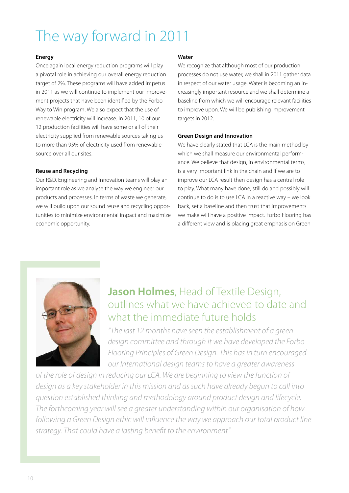## The way forward in 2011

#### **Energy**

Once again local energy reduction programs will play a pivotal role in achieving our overall energy reduction target of 2%. These programs will have added impetus in 2011 as we will continue to implement our improvement projects that have been identified by the Forbo Way to Win program. We also expect that the use of renewable electricity will increase. In 2011, 10 of our 12 production facilities will have some or all of their electricity supplied from renewable sources taking us to more than 95% of electricity used from renewable source over all our sites.

#### **Reuse and Recycling**

Our R&D, Engineering and Innovation teams will play an important role as we analyse the way we engineer our products and processes. In terms of waste we generate, we will build upon our sound reuse and recycling opportunities to minimize environmental impact and maximize economic opportunity.

#### **Water**

We recognize that although most of our production processes do not use water, we shall in 2011 gather data in respect of our water usage. Water is becoming an increasingly important resource and we shall determine a baseline from which we will encourage relevant facilities to improve upon. We will be publishing improvement targets in 2012.

#### **Green Design and Innovation**

We have clearly stated that LCA is the main method by which we shall measure our environmental performance. We believe that design, in environmental terms, is a very important link in the chain and if we are to improve our LCA result then design has a central role to play. What many have done, still do and possibly will continue to do is to use LCA in a reactive way – we look back, set a baseline and then trust that improvements we make will have a positive impact. Forbo Flooring has a different view and is placing great emphasis on Green



### **Jason Holmes**, Head of Textile Design, outlines what we have achieved to date and what the immediate future holds

*"The last 12 months have seen the establishment of a green design committee and through it we have developed the Forbo Flooring Principles of Green Design. This has in turn encouraged our International design teams to have a greater awareness* 

*of the role of design in reducing our LCA. We are beginning to view the function of design as a key stakeholder in this mission and as such have already begun to call into question established thinking and methodology around product design and lifecycle. The forthcoming year will see a greater understanding within our organisation of how following a Green Design ethic will influence the way we approach our total product line strategy. That could have a lasting benefit to the environment"*